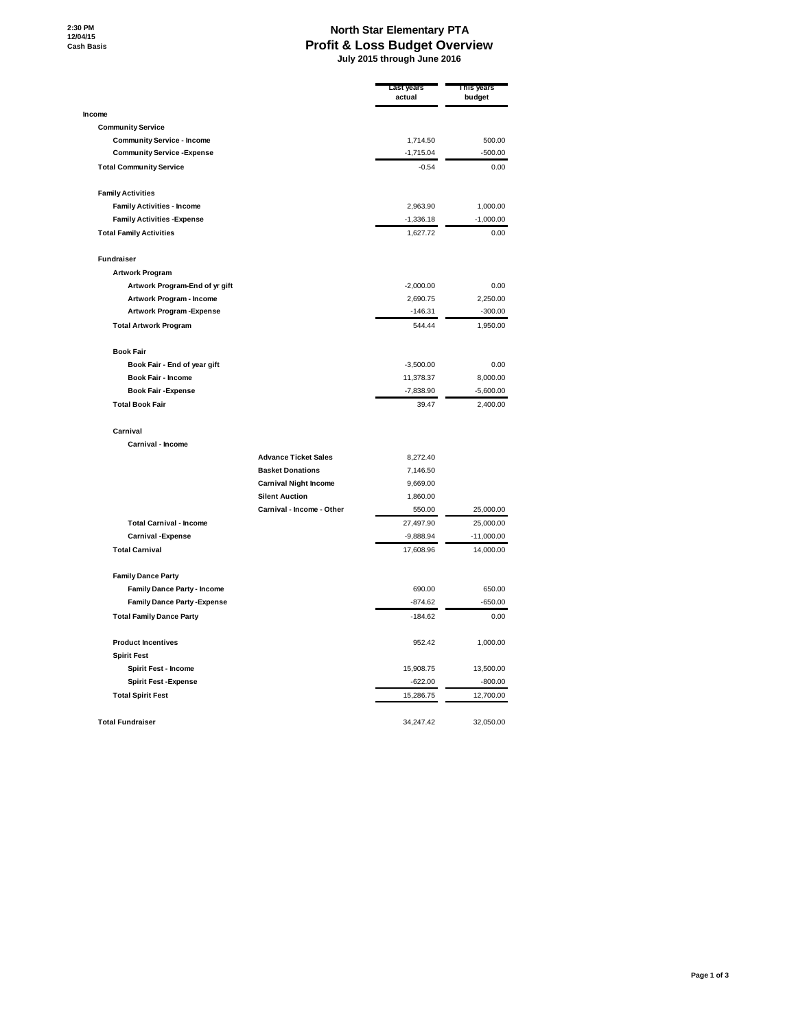## **North Star Elementary PTA Profit & Loss Budget Overview July 2015 through June 2016**

|                                     |                              | Last years<br>actual | This years<br>budget |
|-------------------------------------|------------------------------|----------------------|----------------------|
| Income                              |                              |                      |                      |
| <b>Community Service</b>            |                              |                      |                      |
| <b>Community Service - Income</b>   |                              | 1,714.50             | 500.00               |
| <b>Community Service - Expense</b>  |                              | $-1,715.04$          | $-500.00$            |
| <b>Total Community Service</b>      |                              | $-0.54$              | 0.00                 |
| <b>Family Activities</b>            |                              |                      |                      |
| <b>Family Activities - Income</b>   |                              | 2,963.90             | 1,000.00             |
| <b>Family Activities - Expense</b>  |                              | $-1,336.18$          | $-1,000.00$          |
| <b>Total Family Activities</b>      |                              | 1,627.72             | 0.00                 |
| Fundraiser                          |                              |                      |                      |
| <b>Artwork Program</b>              |                              |                      |                      |
| Artwork Program-End of yr gift      |                              | $-2,000.00$          | 0.00                 |
| Artwork Program - Income            |                              | 2,690.75             | 2,250.00             |
| Artwork Program-Expense             |                              | $-146.31$            | $-300.00$            |
| <b>Total Artwork Program</b>        |                              | 544.44               | 1,950.00             |
| <b>Book Fair</b>                    |                              |                      |                      |
| Book Fair - End of year gift        |                              | $-3,500.00$          | 0.00                 |
| Book Fair - Income                  |                              | 11,378.37            | 8,000.00             |
| <b>Book Fair -Expense</b>           |                              | $-7,838.90$          | $-5,600.00$          |
| <b>Total Book Fair</b>              |                              | 39.47                | 2,400.00             |
| Carnival                            |                              |                      |                      |
| Carnival - Income                   |                              |                      |                      |
|                                     | <b>Advance Ticket Sales</b>  | 8,272.40             |                      |
|                                     | <b>Basket Donations</b>      | 7,146.50             |                      |
|                                     | <b>Carnival Night Income</b> | 9,669.00             |                      |
|                                     | <b>Silent Auction</b>        | 1,860.00             |                      |
|                                     | Carnival - Income - Other    | 550.00               | 25,000.00            |
| <b>Total Carnival - Income</b>      |                              | 27,497.90            | 25,000.00            |
| <b>Carnival - Expense</b>           |                              | $-9,888.94$          | $-11,000.00$         |
| <b>Total Carnival</b>               |                              | 17,608.96            | 14,000.00            |
| <b>Family Dance Party</b>           |                              |                      |                      |
| <b>Family Dance Party - Income</b>  |                              | 690.00               | 650.00               |
| <b>Family Dance Party - Expense</b> |                              | $-874.62$            | $-650.00$            |
| <b>Total Family Dance Party</b>     |                              | $-184.62$            | 0.00                 |
| <b>Product Incentives</b>           |                              | 952.42               | 1,000.00             |
| <b>Spirit Fest</b>                  |                              |                      |                      |
| Spirit Fest - Income                |                              | 15,908.75            | 13,500.00            |
| <b>Spirit Fest -Expense</b>         |                              | $-622.00$            | $-800.00$            |
| <b>Total Spirit Fest</b>            |                              | 15,286.75            | 12,700.00            |
| <b>Total Fundraiser</b>             |                              | 34,247.42            | 32,050.00            |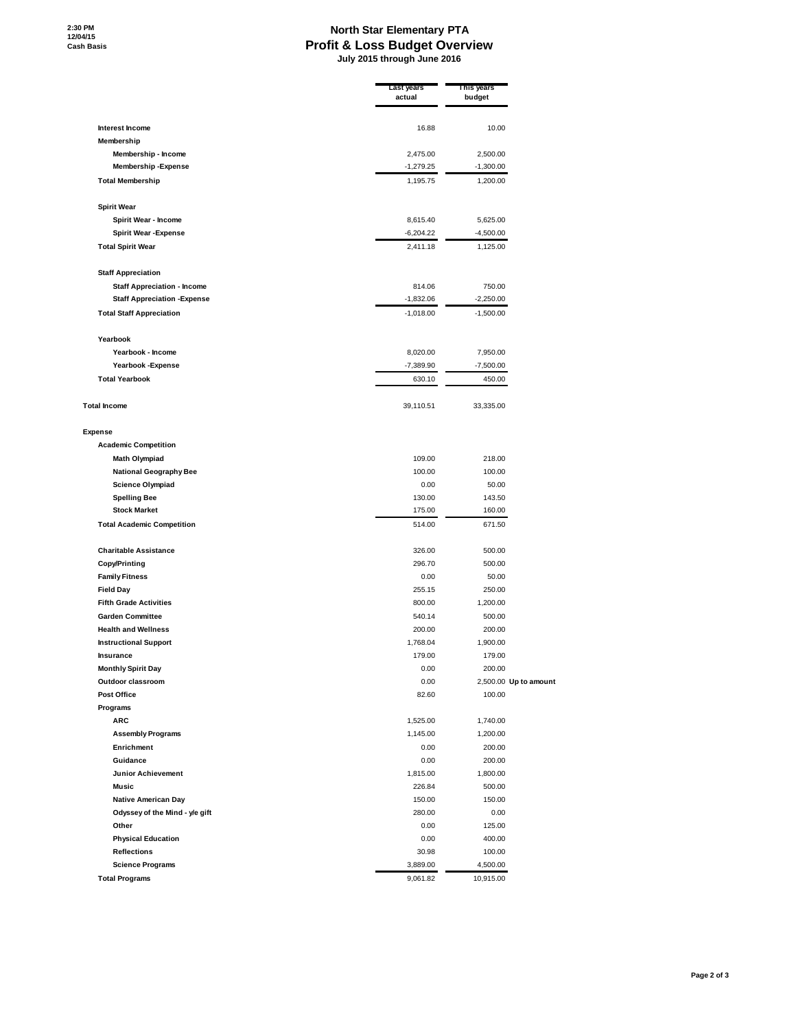## **North Star Elementary PTA Profit & Loss Budget Overview July 2015 through June 2016**

| Interest Income<br>16.88<br>10.00<br>Membership<br>Membership - Income<br>2,475.00<br>2,500.00<br><b>Membership-Expense</b><br>$-1,279.25$<br>$-1,300.00$<br><b>Total Membership</b><br>1,195.75<br>1,200.00<br><b>Spirit Wear</b><br>Spirit Wear - Income<br>8,615.40<br>5,625.00<br><b>Spirit Wear - Expense</b><br>$-6,204.22$<br>$-4,500.00$<br><b>Total Spirit Wear</b><br>2,411.18<br>1,125.00<br><b>Staff Appreciation</b><br><b>Staff Appreciation - Income</b><br>814.06<br>750.00<br><b>Staff Appreciation - Expense</b><br>$-1,832.06$<br>$-2,250.00$<br><b>Total Staff Appreciation</b><br>$-1,018.00$<br>$-1,500.00$<br>Yearbook<br>Yearbook - Income<br>8,020.00<br>7,950.00<br>Yearbook - Expense<br>$-7,389.90$<br>$-7,500.00$<br><b>Total Yearbook</b><br>630.10<br>450.00<br><b>Total Income</b><br>39,110.51<br>33,335.00<br><b>Expense</b><br><b>Academic Competition</b><br>109.00<br>218.00<br>Math Olympiad<br><b>National Geography Bee</b><br>100.00<br>100.00<br><b>Science Olympiad</b><br>0.00<br>50.00<br>130.00<br>143.50<br><b>Spelling Bee</b><br><b>Stock Market</b><br>175.00<br>160.00<br><b>Total Academic Competition</b><br>514.00<br>671.50<br><b>Charitable Assistance</b><br>326.00<br>500.00<br><b>Copy/Printing</b><br>296.70<br>500.00<br><b>Family Fitness</b><br>0.00<br>50.00<br><b>Field Day</b><br>255.15<br>250.00<br><b>Fifth Grade Activities</b><br>800.00<br>1,200.00<br><b>Garden Committee</b><br>540.14<br>500.00<br><b>Health and Wellness</b><br>200.00<br>200.00<br><b>Instructional Support</b><br>1,768.04<br>1,900.00<br>179.00<br>179.00<br>Insurance<br><b>Monthly Spirit Day</b><br>0.00<br>200.00<br>Outdoor classroom<br>0.00<br>2,500.00 Up to amount<br><b>Post Office</b><br>82.60<br>100.00<br>Programs<br><b>ARC</b><br>1,525.00<br>1,740.00<br><b>Assembly Programs</b><br>1,145.00<br>1,200.00<br>Enrichment<br>0.00<br>200.00<br>Guidance<br>0.00<br>200.00<br><b>Junior Achievement</b><br>1,815.00<br>1,800.00<br><b>Music</b><br>226.84<br>500.00 | Last years<br>actual | This years<br>budget |  |
|----------------------------------------------------------------------------------------------------------------------------------------------------------------------------------------------------------------------------------------------------------------------------------------------------------------------------------------------------------------------------------------------------------------------------------------------------------------------------------------------------------------------------------------------------------------------------------------------------------------------------------------------------------------------------------------------------------------------------------------------------------------------------------------------------------------------------------------------------------------------------------------------------------------------------------------------------------------------------------------------------------------------------------------------------------------------------------------------------------------------------------------------------------------------------------------------------------------------------------------------------------------------------------------------------------------------------------------------------------------------------------------------------------------------------------------------------------------------------------------------------------------------------------------------------------------------------------------------------------------------------------------------------------------------------------------------------------------------------------------------------------------------------------------------------------------------------------------------------------------------------------------------------------------------------------------------------------------------------------------------------------------------------------|----------------------|----------------------|--|
|                                                                                                                                                                                                                                                                                                                                                                                                                                                                                                                                                                                                                                                                                                                                                                                                                                                                                                                                                                                                                                                                                                                                                                                                                                                                                                                                                                                                                                                                                                                                                                                                                                                                                                                                                                                                                                                                                                                                                                                                                                  |                      |                      |  |
|                                                                                                                                                                                                                                                                                                                                                                                                                                                                                                                                                                                                                                                                                                                                                                                                                                                                                                                                                                                                                                                                                                                                                                                                                                                                                                                                                                                                                                                                                                                                                                                                                                                                                                                                                                                                                                                                                                                                                                                                                                  |                      |                      |  |
|                                                                                                                                                                                                                                                                                                                                                                                                                                                                                                                                                                                                                                                                                                                                                                                                                                                                                                                                                                                                                                                                                                                                                                                                                                                                                                                                                                                                                                                                                                                                                                                                                                                                                                                                                                                                                                                                                                                                                                                                                                  |                      |                      |  |
|                                                                                                                                                                                                                                                                                                                                                                                                                                                                                                                                                                                                                                                                                                                                                                                                                                                                                                                                                                                                                                                                                                                                                                                                                                                                                                                                                                                                                                                                                                                                                                                                                                                                                                                                                                                                                                                                                                                                                                                                                                  |                      |                      |  |
|                                                                                                                                                                                                                                                                                                                                                                                                                                                                                                                                                                                                                                                                                                                                                                                                                                                                                                                                                                                                                                                                                                                                                                                                                                                                                                                                                                                                                                                                                                                                                                                                                                                                                                                                                                                                                                                                                                                                                                                                                                  |                      |                      |  |
|                                                                                                                                                                                                                                                                                                                                                                                                                                                                                                                                                                                                                                                                                                                                                                                                                                                                                                                                                                                                                                                                                                                                                                                                                                                                                                                                                                                                                                                                                                                                                                                                                                                                                                                                                                                                                                                                                                                                                                                                                                  |                      |                      |  |
|                                                                                                                                                                                                                                                                                                                                                                                                                                                                                                                                                                                                                                                                                                                                                                                                                                                                                                                                                                                                                                                                                                                                                                                                                                                                                                                                                                                                                                                                                                                                                                                                                                                                                                                                                                                                                                                                                                                                                                                                                                  |                      |                      |  |
|                                                                                                                                                                                                                                                                                                                                                                                                                                                                                                                                                                                                                                                                                                                                                                                                                                                                                                                                                                                                                                                                                                                                                                                                                                                                                                                                                                                                                                                                                                                                                                                                                                                                                                                                                                                                                                                                                                                                                                                                                                  |                      |                      |  |
|                                                                                                                                                                                                                                                                                                                                                                                                                                                                                                                                                                                                                                                                                                                                                                                                                                                                                                                                                                                                                                                                                                                                                                                                                                                                                                                                                                                                                                                                                                                                                                                                                                                                                                                                                                                                                                                                                                                                                                                                                                  |                      |                      |  |
|                                                                                                                                                                                                                                                                                                                                                                                                                                                                                                                                                                                                                                                                                                                                                                                                                                                                                                                                                                                                                                                                                                                                                                                                                                                                                                                                                                                                                                                                                                                                                                                                                                                                                                                                                                                                                                                                                                                                                                                                                                  |                      |                      |  |
|                                                                                                                                                                                                                                                                                                                                                                                                                                                                                                                                                                                                                                                                                                                                                                                                                                                                                                                                                                                                                                                                                                                                                                                                                                                                                                                                                                                                                                                                                                                                                                                                                                                                                                                                                                                                                                                                                                                                                                                                                                  |                      |                      |  |
|                                                                                                                                                                                                                                                                                                                                                                                                                                                                                                                                                                                                                                                                                                                                                                                                                                                                                                                                                                                                                                                                                                                                                                                                                                                                                                                                                                                                                                                                                                                                                                                                                                                                                                                                                                                                                                                                                                                                                                                                                                  |                      |                      |  |
|                                                                                                                                                                                                                                                                                                                                                                                                                                                                                                                                                                                                                                                                                                                                                                                                                                                                                                                                                                                                                                                                                                                                                                                                                                                                                                                                                                                                                                                                                                                                                                                                                                                                                                                                                                                                                                                                                                                                                                                                                                  |                      |                      |  |
|                                                                                                                                                                                                                                                                                                                                                                                                                                                                                                                                                                                                                                                                                                                                                                                                                                                                                                                                                                                                                                                                                                                                                                                                                                                                                                                                                                                                                                                                                                                                                                                                                                                                                                                                                                                                                                                                                                                                                                                                                                  |                      |                      |  |
|                                                                                                                                                                                                                                                                                                                                                                                                                                                                                                                                                                                                                                                                                                                                                                                                                                                                                                                                                                                                                                                                                                                                                                                                                                                                                                                                                                                                                                                                                                                                                                                                                                                                                                                                                                                                                                                                                                                                                                                                                                  |                      |                      |  |
|                                                                                                                                                                                                                                                                                                                                                                                                                                                                                                                                                                                                                                                                                                                                                                                                                                                                                                                                                                                                                                                                                                                                                                                                                                                                                                                                                                                                                                                                                                                                                                                                                                                                                                                                                                                                                                                                                                                                                                                                                                  |                      |                      |  |
|                                                                                                                                                                                                                                                                                                                                                                                                                                                                                                                                                                                                                                                                                                                                                                                                                                                                                                                                                                                                                                                                                                                                                                                                                                                                                                                                                                                                                                                                                                                                                                                                                                                                                                                                                                                                                                                                                                                                                                                                                                  |                      |                      |  |
|                                                                                                                                                                                                                                                                                                                                                                                                                                                                                                                                                                                                                                                                                                                                                                                                                                                                                                                                                                                                                                                                                                                                                                                                                                                                                                                                                                                                                                                                                                                                                                                                                                                                                                                                                                                                                                                                                                                                                                                                                                  |                      |                      |  |
|                                                                                                                                                                                                                                                                                                                                                                                                                                                                                                                                                                                                                                                                                                                                                                                                                                                                                                                                                                                                                                                                                                                                                                                                                                                                                                                                                                                                                                                                                                                                                                                                                                                                                                                                                                                                                                                                                                                                                                                                                                  |                      |                      |  |
|                                                                                                                                                                                                                                                                                                                                                                                                                                                                                                                                                                                                                                                                                                                                                                                                                                                                                                                                                                                                                                                                                                                                                                                                                                                                                                                                                                                                                                                                                                                                                                                                                                                                                                                                                                                                                                                                                                                                                                                                                                  |                      |                      |  |
|                                                                                                                                                                                                                                                                                                                                                                                                                                                                                                                                                                                                                                                                                                                                                                                                                                                                                                                                                                                                                                                                                                                                                                                                                                                                                                                                                                                                                                                                                                                                                                                                                                                                                                                                                                                                                                                                                                                                                                                                                                  |                      |                      |  |
|                                                                                                                                                                                                                                                                                                                                                                                                                                                                                                                                                                                                                                                                                                                                                                                                                                                                                                                                                                                                                                                                                                                                                                                                                                                                                                                                                                                                                                                                                                                                                                                                                                                                                                                                                                                                                                                                                                                                                                                                                                  |                      |                      |  |
|                                                                                                                                                                                                                                                                                                                                                                                                                                                                                                                                                                                                                                                                                                                                                                                                                                                                                                                                                                                                                                                                                                                                                                                                                                                                                                                                                                                                                                                                                                                                                                                                                                                                                                                                                                                                                                                                                                                                                                                                                                  |                      |                      |  |
|                                                                                                                                                                                                                                                                                                                                                                                                                                                                                                                                                                                                                                                                                                                                                                                                                                                                                                                                                                                                                                                                                                                                                                                                                                                                                                                                                                                                                                                                                                                                                                                                                                                                                                                                                                                                                                                                                                                                                                                                                                  |                      |                      |  |
|                                                                                                                                                                                                                                                                                                                                                                                                                                                                                                                                                                                                                                                                                                                                                                                                                                                                                                                                                                                                                                                                                                                                                                                                                                                                                                                                                                                                                                                                                                                                                                                                                                                                                                                                                                                                                                                                                                                                                                                                                                  |                      |                      |  |
|                                                                                                                                                                                                                                                                                                                                                                                                                                                                                                                                                                                                                                                                                                                                                                                                                                                                                                                                                                                                                                                                                                                                                                                                                                                                                                                                                                                                                                                                                                                                                                                                                                                                                                                                                                                                                                                                                                                                                                                                                                  |                      |                      |  |
|                                                                                                                                                                                                                                                                                                                                                                                                                                                                                                                                                                                                                                                                                                                                                                                                                                                                                                                                                                                                                                                                                                                                                                                                                                                                                                                                                                                                                                                                                                                                                                                                                                                                                                                                                                                                                                                                                                                                                                                                                                  |                      |                      |  |
|                                                                                                                                                                                                                                                                                                                                                                                                                                                                                                                                                                                                                                                                                                                                                                                                                                                                                                                                                                                                                                                                                                                                                                                                                                                                                                                                                                                                                                                                                                                                                                                                                                                                                                                                                                                                                                                                                                                                                                                                                                  |                      |                      |  |
|                                                                                                                                                                                                                                                                                                                                                                                                                                                                                                                                                                                                                                                                                                                                                                                                                                                                                                                                                                                                                                                                                                                                                                                                                                                                                                                                                                                                                                                                                                                                                                                                                                                                                                                                                                                                                                                                                                                                                                                                                                  |                      |                      |  |
|                                                                                                                                                                                                                                                                                                                                                                                                                                                                                                                                                                                                                                                                                                                                                                                                                                                                                                                                                                                                                                                                                                                                                                                                                                                                                                                                                                                                                                                                                                                                                                                                                                                                                                                                                                                                                                                                                                                                                                                                                                  |                      |                      |  |
|                                                                                                                                                                                                                                                                                                                                                                                                                                                                                                                                                                                                                                                                                                                                                                                                                                                                                                                                                                                                                                                                                                                                                                                                                                                                                                                                                                                                                                                                                                                                                                                                                                                                                                                                                                                                                                                                                                                                                                                                                                  |                      |                      |  |
|                                                                                                                                                                                                                                                                                                                                                                                                                                                                                                                                                                                                                                                                                                                                                                                                                                                                                                                                                                                                                                                                                                                                                                                                                                                                                                                                                                                                                                                                                                                                                                                                                                                                                                                                                                                                                                                                                                                                                                                                                                  |                      |                      |  |
|                                                                                                                                                                                                                                                                                                                                                                                                                                                                                                                                                                                                                                                                                                                                                                                                                                                                                                                                                                                                                                                                                                                                                                                                                                                                                                                                                                                                                                                                                                                                                                                                                                                                                                                                                                                                                                                                                                                                                                                                                                  |                      |                      |  |
|                                                                                                                                                                                                                                                                                                                                                                                                                                                                                                                                                                                                                                                                                                                                                                                                                                                                                                                                                                                                                                                                                                                                                                                                                                                                                                                                                                                                                                                                                                                                                                                                                                                                                                                                                                                                                                                                                                                                                                                                                                  |                      |                      |  |
|                                                                                                                                                                                                                                                                                                                                                                                                                                                                                                                                                                                                                                                                                                                                                                                                                                                                                                                                                                                                                                                                                                                                                                                                                                                                                                                                                                                                                                                                                                                                                                                                                                                                                                                                                                                                                                                                                                                                                                                                                                  |                      |                      |  |
|                                                                                                                                                                                                                                                                                                                                                                                                                                                                                                                                                                                                                                                                                                                                                                                                                                                                                                                                                                                                                                                                                                                                                                                                                                                                                                                                                                                                                                                                                                                                                                                                                                                                                                                                                                                                                                                                                                                                                                                                                                  |                      |                      |  |
|                                                                                                                                                                                                                                                                                                                                                                                                                                                                                                                                                                                                                                                                                                                                                                                                                                                                                                                                                                                                                                                                                                                                                                                                                                                                                                                                                                                                                                                                                                                                                                                                                                                                                                                                                                                                                                                                                                                                                                                                                                  |                      |                      |  |
|                                                                                                                                                                                                                                                                                                                                                                                                                                                                                                                                                                                                                                                                                                                                                                                                                                                                                                                                                                                                                                                                                                                                                                                                                                                                                                                                                                                                                                                                                                                                                                                                                                                                                                                                                                                                                                                                                                                                                                                                                                  |                      |                      |  |
|                                                                                                                                                                                                                                                                                                                                                                                                                                                                                                                                                                                                                                                                                                                                                                                                                                                                                                                                                                                                                                                                                                                                                                                                                                                                                                                                                                                                                                                                                                                                                                                                                                                                                                                                                                                                                                                                                                                                                                                                                                  |                      |                      |  |
|                                                                                                                                                                                                                                                                                                                                                                                                                                                                                                                                                                                                                                                                                                                                                                                                                                                                                                                                                                                                                                                                                                                                                                                                                                                                                                                                                                                                                                                                                                                                                                                                                                                                                                                                                                                                                                                                                                                                                                                                                                  |                      |                      |  |
|                                                                                                                                                                                                                                                                                                                                                                                                                                                                                                                                                                                                                                                                                                                                                                                                                                                                                                                                                                                                                                                                                                                                                                                                                                                                                                                                                                                                                                                                                                                                                                                                                                                                                                                                                                                                                                                                                                                                                                                                                                  |                      |                      |  |
|                                                                                                                                                                                                                                                                                                                                                                                                                                                                                                                                                                                                                                                                                                                                                                                                                                                                                                                                                                                                                                                                                                                                                                                                                                                                                                                                                                                                                                                                                                                                                                                                                                                                                                                                                                                                                                                                                                                                                                                                                                  |                      |                      |  |
|                                                                                                                                                                                                                                                                                                                                                                                                                                                                                                                                                                                                                                                                                                                                                                                                                                                                                                                                                                                                                                                                                                                                                                                                                                                                                                                                                                                                                                                                                                                                                                                                                                                                                                                                                                                                                                                                                                                                                                                                                                  |                      |                      |  |
|                                                                                                                                                                                                                                                                                                                                                                                                                                                                                                                                                                                                                                                                                                                                                                                                                                                                                                                                                                                                                                                                                                                                                                                                                                                                                                                                                                                                                                                                                                                                                                                                                                                                                                                                                                                                                                                                                                                                                                                                                                  |                      |                      |  |
| Native American Day<br>150.00<br>150.00<br>Odyssey of the Mind - y/e gift<br>280.00<br>0.00                                                                                                                                                                                                                                                                                                                                                                                                                                                                                                                                                                                                                                                                                                                                                                                                                                                                                                                                                                                                                                                                                                                                                                                                                                                                                                                                                                                                                                                                                                                                                                                                                                                                                                                                                                                                                                                                                                                                      |                      |                      |  |
| Other<br>0.00<br>125.00                                                                                                                                                                                                                                                                                                                                                                                                                                                                                                                                                                                                                                                                                                                                                                                                                                                                                                                                                                                                                                                                                                                                                                                                                                                                                                                                                                                                                                                                                                                                                                                                                                                                                                                                                                                                                                                                                                                                                                                                          |                      |                      |  |
| <b>Physical Education</b><br>0.00<br>400.00                                                                                                                                                                                                                                                                                                                                                                                                                                                                                                                                                                                                                                                                                                                                                                                                                                                                                                                                                                                                                                                                                                                                                                                                                                                                                                                                                                                                                                                                                                                                                                                                                                                                                                                                                                                                                                                                                                                                                                                      |                      |                      |  |
| <b>Reflections</b><br>30.98<br>100.00                                                                                                                                                                                                                                                                                                                                                                                                                                                                                                                                                                                                                                                                                                                                                                                                                                                                                                                                                                                                                                                                                                                                                                                                                                                                                                                                                                                                                                                                                                                                                                                                                                                                                                                                                                                                                                                                                                                                                                                            |                      |                      |  |
| <b>Science Programs</b><br>3,889.00<br>4,500.00                                                                                                                                                                                                                                                                                                                                                                                                                                                                                                                                                                                                                                                                                                                                                                                                                                                                                                                                                                                                                                                                                                                                                                                                                                                                                                                                                                                                                                                                                                                                                                                                                                                                                                                                                                                                                                                                                                                                                                                  |                      |                      |  |
| <b>Total Programs</b><br>9,061.82<br>10,915.00                                                                                                                                                                                                                                                                                                                                                                                                                                                                                                                                                                                                                                                                                                                                                                                                                                                                                                                                                                                                                                                                                                                                                                                                                                                                                                                                                                                                                                                                                                                                                                                                                                                                                                                                                                                                                                                                                                                                                                                   |                      |                      |  |